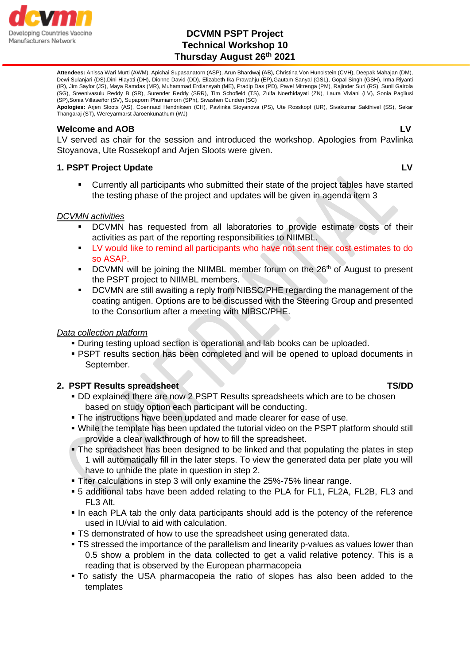

## **DCVMN PSPT Project Technical Workshop 10 Thursday August 26th 2021**

**Attendees:** Anissa Wari Murti (AWM), Apichai Supasanatorn (ASP), Arun Bhardwaj (AB), Christina Von Hunolstein (CVH), Deepak Mahajan (DM), Dewi Sulanjari (DS),Dini Hiayati (DH), Dionne David (DD), Elizabeth Ika Prawahju (EP),Gautam Sanyal (GSL), Gopal Singh (GSH), Irma Riyanti (IR), Jim Saylor (JS), Maya Ramdas (MR), Muhammad Erdiansyah (ME), Pradip Das (PD), Pavel Mitrenga (PM), Rajinder Suri (RS), Sunil Gairola (SG), Sreenivasulu Reddy B (SR), Surender Reddy (SRR), Tim Schofield (TS), Zulfa Noerhidayati (ZN), Laura Viviani (LV), Sonia Pagliusi (SP),Sonia Villaseñor (SV), Supaporn Phumiamorn (SPh), Sivashen Cunden (SC)

**Apologies:** Arjen Sloots (AS), Coenraad Hendriksen (CH), Pavlinka Stoyanova (PS), Ute Rosskopf (UR), Sivakumar Sakthivel (SS), Sekar Thangaraj (ST), Wereyarmarst Jaroenkunathum (WJ)

### **Welcome and AOB LV**

LV served as chair for the session and introduced the workshop. Apologies from Pavlinka Stoyanova, Ute Rossekopf and Arjen Sloots were given.

## **1. PSPT Project Update LV**

Currently all participants who submitted their state of the project tables have started the testing phase of the project and updates will be given in agenda item 3

## *DCVMN activities*

- DCVMN has requested from all laboratories to provide estimate costs of their activities as part of the reporting responsibilities to NIIMBL.
- LV would like to remind all participants who have not sent their cost estimates to do so ASAP.
- DCVMN will be joining the NIIMBL member forum on the 26<sup>th</sup> of August to present the PSPT project to NIIMBL members.
- DCVMN are still awaiting a reply from NIBSC/PHE regarding the management of the coating antigen. Options are to be discussed with the Steering Group and presented to the Consortium after a meeting with NIBSC/PHE.

## *Data collection platform*

- During testing upload section is operational and lab books can be uploaded.
- **PSPT results section has been completed and will be opened to upload documents in** September.

## **2. PSPT Results spreadsheet TS/DD TS/DD**

- DD explained there are now 2 PSPT Results spreadsheets which are to be chosen based on study option each participant will be conducting.
- **.** The instructions have been updated and made clearer for ease of use.
- While the template has been updated the tutorial video on the PSPT platform should still provide a clear walkthrough of how to fill the spreadsheet.
- The spreadsheet has been designed to be linked and that populating the plates in step 1 will automatically fill in the later steps. To view the generated data per plate you will have to unhide the plate in question in step 2.
- **Titer calculations in step 3 will only examine the 25%-75% linear range.**
- 5 additional tabs have been added relating to the PLA for FL1, FL2A, FL2B, FL3 and FL3 Alt.
- In each PLA tab the only data participants should add is the potency of the reference used in IU/vial to aid with calculation.
- **TS demonstrated of how to use the spreadsheet using generated data.**
- **TS stressed the importance of the parallelism and linearity p-values as values lower than** 0.5 show a problem in the data collected to get a valid relative potency. This is a reading that is observed by the European pharmacopeia
- To satisfy the USA pharmacopeia the ratio of slopes has also been added to the templates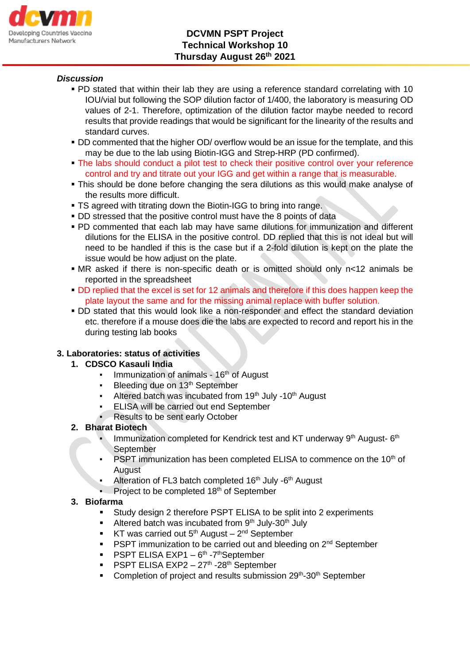

## *Discussion*

- PD stated that within their lab they are using a reference standard correlating with 10 IOU/vial but following the SOP dilution factor of 1/400, the laboratory is measuring OD values of 2-1. Therefore, optimization of the dilution factor maybe needed to record results that provide readings that would be significant for the linearity of the results and standard curves.
- **DD commented that the higher OD/ overflow would be an issue for the template, and this** may be due to the lab using Biotin-IGG and Strep-HRP (PD confirmed).
- The labs should conduct a pilot test to check their positive control over your reference control and try and titrate out your IGG and get within a range that is measurable.
- **.** This should be done before changing the sera dilutions as this would make analyse of the results more difficult.
- **TS agreed with titrating down the Biotin-IGG to bring into range.**
- **DD stressed that the positive control must have the 8 points of data**
- PD commented that each lab may have same dilutions for immunization and different dilutions for the ELISA in the positive control. DD replied that this is not ideal but will need to be handled if this is the case but if a 2-fold dilution is kept on the plate the issue would be how adjust on the plate.
- MR asked if there is non-specific death or is omitted should only n<12 animals be reported in the spreadsheet
- **DD replied that the excel is set for 12 animals and therefore if this does happen keep the** plate layout the same and for the missing animal replace with buffer solution.
- **DD** stated that this would look like a non-responder and effect the standard deviation etc. therefore if a mouse does die the labs are expected to record and report his in the during testing lab books

## **3. Laboratories: status of activities**

## **1. CDSCO Kasauli India**

- **Fig.** Immunization of animals 16<sup>th</sup> of August
- Bleeding due on 13<sup>th</sup> September
- Altered batch was incubated from 19<sup>th</sup> July -10<sup>th</sup> August
- **ELISA will be carried out end September**
- Results to be sent early October

## **2. Bharat Biotech**

- **Immunization completed for Kendrick test and KT underway**  $9<sup>th</sup>$  **August-** $6<sup>th</sup>$ September
- PSPT immunization has been completed ELISA to commence on the 10<sup>th</sup> of **August**
- **•** Alteration of FL3 batch completed  $16<sup>th</sup>$  July  $-6<sup>th</sup>$  August
- Project to be completed 18<sup>th</sup> of September

## **3. Biofarma**

- Study design 2 therefore PSPT ELISA to be split into 2 experiments
- **EXECUTE:** Altered batch was incubated from  $9<sup>th</sup>$  July-30<sup>th</sup> July
- **KT** was carried out  $5<sup>th</sup>$  August  $2<sup>nd</sup>$  September
- **PSPT immunization to be carried out and bleeding on**  $2^{nd}$  **September**
- **•** PSPT ELISA EXP1  $-6$ <sup>th</sup> -7<sup>th</sup>September
- PSPT ELISA EXP2 27<sup>th</sup> -28<sup>th</sup> September
- Completion of project and results submission 29<sup>th</sup>-30<sup>th</sup> September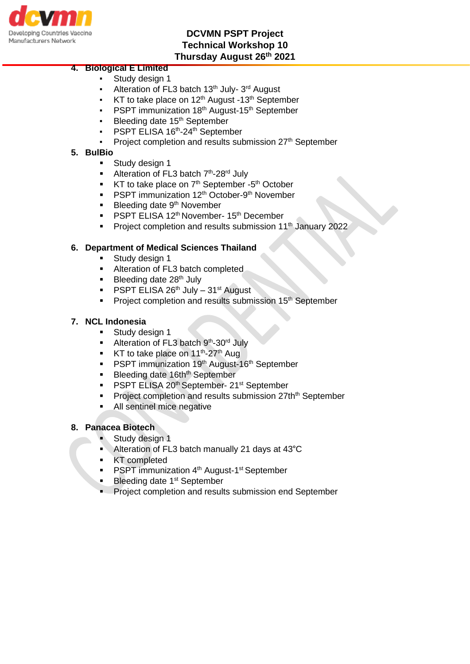

## **DCVMN PSPT Project Technical Workshop 10 Thursday August 26th 2021**

# **4. Biological E Limited**

- Study design 1
- Alteration of FL3 batch 13<sup>th</sup> July-3<sup>rd</sup> August
- KT to take place on 12<sup>th</sup> August -13<sup>th</sup> September
- PSPT immunization 18<sup>th</sup> August-15<sup>th</sup> September
- Bleeding date 15<sup>th</sup> September
- PSPT ELISA 16<sup>th</sup>-24<sup>th</sup> September
- Project completion and results submission 27<sup>th</sup> September

## **5. BulBio**

- Study design 1
- Alteration of FL3 batch 7<sup>th</sup>-28<sup>rd</sup> July
- **KT** to take place on  $7<sup>th</sup>$  September -5<sup>th</sup> October
- PSPT immunization 12<sup>th</sup> October-9<sup>th</sup> November
- $\blacksquare$  Bleeding date 9<sup>th</sup> November
- PSPT ELISA 12<sup>th</sup> November- 15<sup>th</sup> December
- Project completion and results submission 11<sup>th</sup> January 2022

### **6. Department of Medical Sciences Thailand**

- Study design 1
- **EXECUTE:** Alteration of FL3 batch completed
- **•** Bleeding date  $28<sup>th</sup>$  July
- **PSPT ELISA 26<sup>th</sup> July 31<sup>st</sup> August**
- **•** Project completion and results submission 15<sup>th</sup> September

### **7. NCL Indonesia**

- **EXECUTE:** Study design 1
- Alteration of FL3 batch 9<sup>th</sup>-30<sup>rd</sup> July
- **KT** to take place on 11<sup>th</sup>-27<sup>th</sup> Aug
- **PSPT immunization 19th August-16th September**
- **Example 3 Bleeding date 16thth September**
- PSPT ELISA 20<sup>th</sup> September- 21<sup>st</sup> September
- **Project completion and results submission 27th<sup>th</sup> September**
- All sentinel mice negative

#### **8. Panacea Biotech**

- Study design 1
- Alteration of FL3 batch manually 21 days at 43°C
- **KT** completed
- **•** PSPT immunization 4<sup>th</sup> August-1<sup>st</sup> September
- Bleeding date 1<sup>st</sup> September
- Project completion and results submission end September